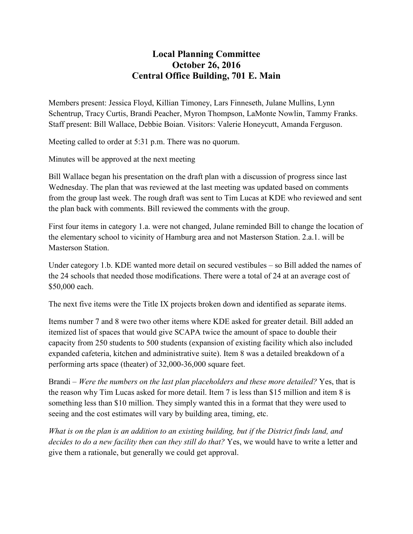## **Local Planning Committee October 26, 2016 Central Office Building, 701 E. Main**

Members present: Jessica Floyd, Killian Timoney, Lars Finneseth, Julane Mullins, Lynn Schentrup, Tracy Curtis, Brandi Peacher, Myron Thompson, LaMonte Nowlin, Tammy Franks. Staff present: Bill Wallace, Debbie Boian. Visitors: Valerie Honeycutt, Amanda Ferguson.

Meeting called to order at 5:31 p.m. There was no quorum.

Minutes will be approved at the next meeting

Bill Wallace began his presentation on the draft plan with a discussion of progress since last Wednesday. The plan that was reviewed at the last meeting was updated based on comments from the group last week. The rough draft was sent to Tim Lucas at KDE who reviewed and sent the plan back with comments. Bill reviewed the comments with the group.

First four items in category 1.a. were not changed, Julane reminded Bill to change the location of the elementary school to vicinity of Hamburg area and not Masterson Station. 2.a.1. will be Masterson Station.

Under category 1.b. KDE wanted more detail on secured vestibules – so Bill added the names of the 24 schools that needed those modifications. There were a total of 24 at an average cost of \$50,000 each.

The next five items were the Title IX projects broken down and identified as separate items.

Items number 7 and 8 were two other items where KDE asked for greater detail. Bill added an itemized list of spaces that would give SCAPA twice the amount of space to double their capacity from 250 students to 500 students (expansion of existing facility which also included expanded cafeteria, kitchen and administrative suite). Item 8 was a detailed breakdown of a performing arts space (theater) of 32,000-36,000 square feet.

Brandi – *Were the numbers on the last plan placeholders and these more detailed?* Yes, that is the reason why Tim Lucas asked for more detail. Item 7 is less than \$15 million and item 8 is something less than \$10 million. They simply wanted this in a format that they were used to seeing and the cost estimates will vary by building area, timing, etc.

*What is on the plan is an addition to an existing building, but if the District finds land, and decides to do a new facility then can they still do that?* Yes, we would have to write a letter and give them a rationale, but generally we could get approval.